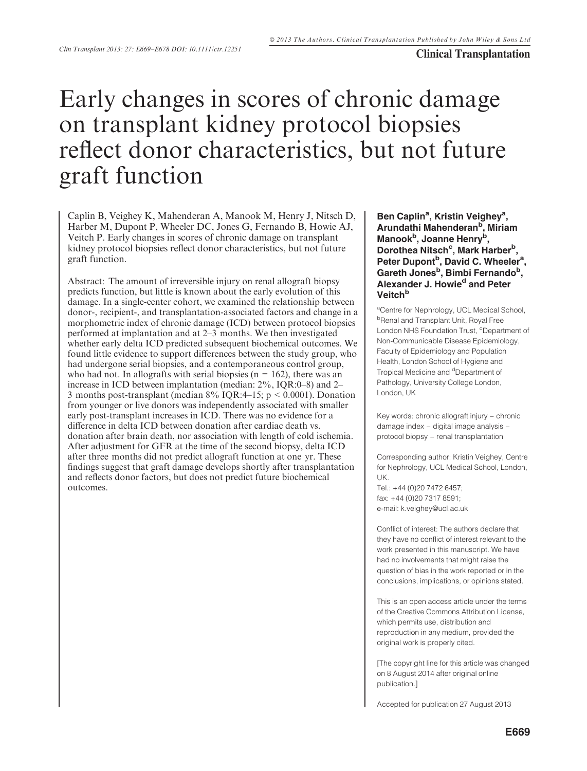# Early changes in scores of chronic damage on transplant kidney protocol biopsies reflect donor characteristics, but not future graft function

Caplin B, Veighey K, Mahenderan A, Manook M, Henry J, Nitsch D, Harber M, Dupont P, Wheeler DC, Jones G, Fernando B, Howie AJ, Veitch P. Early changes in scores of chronic damage on transplant kidney protocol biopsies reflect donor characteristics, but not future graft function.

Abstract: The amount of irreversible injury on renal allograft biopsy predicts function, but little is known about the early evolution of this damage. In a single-center cohort, we examined the relationship between donor-, recipient-, and transplantation-associated factors and change in a morphometric index of chronic damage (ICD) between protocol biopsies performed at implantation and at 2–3 months. We then investigated whether early delta ICD predicted subsequent biochemical outcomes. We found little evidence to support differences between the study group, who had undergone serial biopsies, and a contemporaneous control group, who had not. In allografts with serial biopsies ( $n = 162$ ), there was an increase in ICD between implantation (median: 2%, IQR:0–8) and 2– 3 months post-transplant (median  $8\%$  IQR:4–15; p < 0.0001). Donation from younger or live donors was independently associated with smaller early post-transplant increases in ICD. There was no evidence for a difference in delta ICD between donation after cardiac death vs. donation after brain death, nor association with length of cold ischemia. After adjustment for GFR at the time of the second biopsy, delta ICD after three months did not predict allograft function at one yr. These findings suggest that graft damage develops shortly after transplantation and reflects donor factors, but does not predict future biochemical outcomes.

Ben Caplin<sup>a</sup>, Kristin Veighey<sup>a</sup>, Arundathi Mahenderan<sup>b</sup>, Miriam Manook<sup>b</sup>, Joanne Henry<sup>b</sup>, Dorothea Nitsch<sup>c</sup>, Mark Harber<sup>b</sup>, Peter Dupont<sup>b</sup>, David C. Wheeler<sup>a</sup>, Gareth Jones<sup>b</sup>, Bimbi Fernando<sup>b</sup>, Alexander J. Howie<sup>d</sup> and Peter Veitch<sup>b</sup>

aCentre for Nephrology, UCL Medical School, **bRenal and Transplant Unit, Royal Free** London NHS Foundation Trust, <sup>c</sup>Department of Non-Communicable Disease Epidemiology, Faculty of Epidemiology and Population Health, London School of Hygiene and Tropical Medicine and dDepartment of Pathology, University College London, London, UK

Key words: chronic allograft injury – chronic damage index – digital image analysis – protocol biopsy – renal transplantation

Corresponding author: Kristin Veighey, Centre for Nephrology, UCL Medical School, London, UK.

Tel.: +44 (0)20 7472 6457; fax: +44 (0)20 7317 8591; e-mail: k.veighey@ucl.ac.uk

Conflict of interest: The authors declare that they have no conflict of interest relevant to the work presented in this manuscript. We have had no involvements that might raise the question of bias in the work reported or in the conclusions, implications, or opinions stated.

This is an open access article under the terms of the Creative Commons Attribution License, which permits use, distribution and reproduction in any medium, provided the original work is properly cited.

[The copyright line for this article was changed on 8 August 2014 after original online publication.]

Accepted for publication 27 August 2013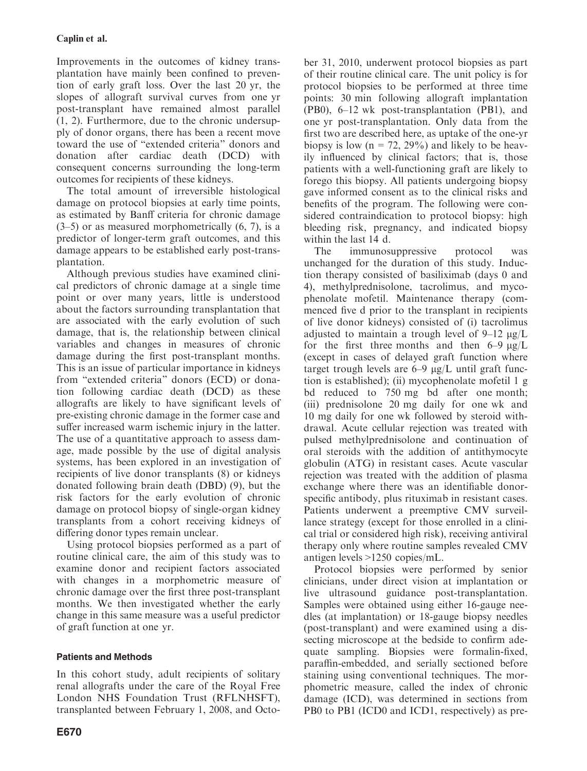Improvements in the outcomes of kidney transplantation have mainly been confined to prevention of early graft loss. Over the last 20 yr, the slopes of allograft survival curves from one yr post-transplant have remained almost parallel (1, 2). Furthermore, due to the chronic undersupply of donor organs, there has been a recent move toward the use of "extended criteria" donors and donation after cardiac death (DCD) with consequent concerns surrounding the long-term outcomes for recipients of these kidneys.

The total amount of irreversible histological damage on protocol biopsies at early time points, as estimated by Banff criteria for chronic damage  $(3-5)$  or as measured morphometrically  $(6, 7)$ , is a predictor of longer-term graft outcomes, and this damage appears to be established early post-transplantation.

Although previous studies have examined clinical predictors of chronic damage at a single time point or over many years, little is understood about the factors surrounding transplantation that are associated with the early evolution of such damage, that is, the relationship between clinical variables and changes in measures of chronic damage during the first post-transplant months. This is an issue of particular importance in kidneys from "extended criteria" donors (ECD) or donation following cardiac death (DCD) as these allografts are likely to have significant levels of pre-existing chronic damage in the former case and suffer increased warm ischemic injury in the latter. The use of a quantitative approach to assess damage, made possible by the use of digital analysis systems, has been explored in an investigation of recipients of live donor transplants (8) or kidneys donated following brain death (DBD) (9), but the risk factors for the early evolution of chronic damage on protocol biopsy of single-organ kidney transplants from a cohort receiving kidneys of differing donor types remain unclear.

Using protocol biopsies performed as a part of routine clinical care, the aim of this study was to examine donor and recipient factors associated with changes in a morphometric measure of chronic damage over the first three post-transplant months. We then investigated whether the early change in this same measure was a useful predictor of graft function at one yr.

# Patients and Methods

In this cohort study, adult recipients of solitary renal allografts under the care of the Royal Free London NHS Foundation Trust (RFLNHSFT), transplanted between February 1, 2008, and October 31, 2010, underwent protocol biopsies as part of their routine clinical care. The unit policy is for protocol biopsies to be performed at three time points: 30 min following allograft implantation (PB0), 6–12 wk post-transplantation (PB1), and one yr post-transplantation. Only data from the first two are described here, as uptake of the one-yr biopsy is low  $(n = 72, 29\%)$  and likely to be heavily influenced by clinical factors; that is, those patients with a well-functioning graft are likely to forego this biopsy. All patients undergoing biopsy gave informed consent as to the clinical risks and benefits of the program. The following were considered contraindication to protocol biopsy: high bleeding risk, pregnancy, and indicated biopsy within the last 14 d.

The immunosuppressive protocol was unchanged for the duration of this study. Induction therapy consisted of basiliximab (days 0 and 4), methylprednisolone, tacrolimus, and mycophenolate mofetil. Maintenance therapy (commenced five d prior to the transplant in recipients of live donor kidneys) consisted of (i) tacrolimus adjusted to maintain a trough level of  $9-12 \text{ µg/L}$ for the first three months and then  $6-9 \mu g/L$ (except in cases of delayed graft function where target trough levels are  $6-9 \mu g/L$  until graft function is established); (ii) mycophenolate mofetil 1 g bd reduced to 750 mg bd after one month; (iii) prednisolone 20 mg daily for one wk and 10 mg daily for one wk followed by steroid withdrawal. Acute cellular rejection was treated with pulsed methylprednisolone and continuation of oral steroids with the addition of antithymocyte globulin (ATG) in resistant cases. Acute vascular rejection was treated with the addition of plasma exchange where there was an identifiable donorspecific antibody, plus rituximab in resistant cases. Patients underwent a preemptive CMV surveillance strategy (except for those enrolled in a clinical trial or considered high risk), receiving antiviral therapy only where routine samples revealed CMV antigen levels >1250 copies/mL.

Protocol biopsies were performed by senior clinicians, under direct vision at implantation or live ultrasound guidance post-transplantation. Samples were obtained using either 16-gauge needles (at implantation) or 18-gauge biopsy needles (post-transplant) and were examined using a dissecting microscope at the bedside to confirm adequate sampling. Biopsies were formalin-fixed, paraffin-embedded, and serially sectioned before staining using conventional techniques. The morphometric measure, called the index of chronic damage (ICD), was determined in sections from PB0 to PB1 (ICD0 and ICD1, respectively) as pre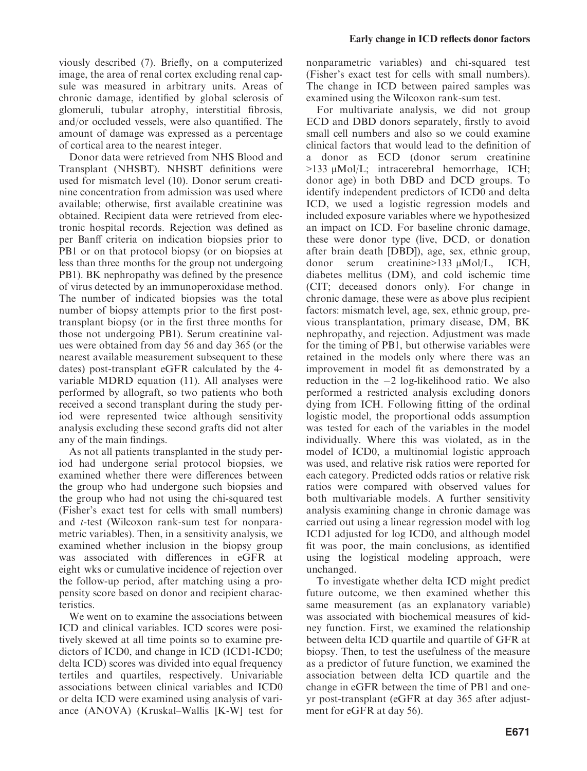viously described (7). Briefly, on a computerized image, the area of renal cortex excluding renal capsule was measured in arbitrary units. Areas of chronic damage, identified by global sclerosis of glomeruli, tubular atrophy, interstitial fibrosis, and/or occluded vessels, were also quantified. The amount of damage was expressed as a percentage of cortical area to the nearest integer.

Donor data were retrieved from NHS Blood and Transplant (NHSBT). NHSBT definitions were used for mismatch level (10). Donor serum creatinine concentration from admission was used where available; otherwise, first available creatinine was obtained. Recipient data were retrieved from electronic hospital records. Rejection was defined as per Banff criteria on indication biopsies prior to PB1 or on that protocol biopsy (or on biopsies at less than three months for the group not undergoing PB1). BK nephropathy was defined by the presence of virus detected by an immunoperoxidase method. The number of indicated biopsies was the total number of biopsy attempts prior to the first posttransplant biopsy (or in the first three months for those not undergoing PB1). Serum creatinine values were obtained from day 56 and day 365 (or the nearest available measurement subsequent to these dates) post-transplant eGFR calculated by the 4 variable MDRD equation (11). All analyses were performed by allograft, so two patients who both received a second transplant during the study period were represented twice although sensitivity analysis excluding these second grafts did not alter any of the main findings.

As not all patients transplanted in the study period had undergone serial protocol biopsies, we examined whether there were differences between the group who had undergone such biopsies and the group who had not using the chi-squared test (Fisher's exact test for cells with small numbers) and t-test (Wilcoxon rank-sum test for nonparametric variables). Then, in a sensitivity analysis, we examined whether inclusion in the biopsy group was associated with differences in eGFR at eight wks or cumulative incidence of rejection over the follow-up period, after matching using a propensity score based on donor and recipient characteristics.

We went on to examine the associations between ICD and clinical variables. ICD scores were positively skewed at all time points so to examine predictors of ICD0, and change in ICD (ICD1-ICD0; delta ICD) scores was divided into equal frequency tertiles and quartiles, respectively. Univariable associations between clinical variables and ICD0 or delta ICD were examined using analysis of variance (ANOVA) (Kruskal–Wallis [K-W] test for nonparametric variables) and chi-squared test (Fisher's exact test for cells with small numbers). The change in ICD between paired samples was examined using the Wilcoxon rank-sum test.

For multivariate analysis, we did not group ECD and DBD donors separately, firstly to avoid small cell numbers and also so we could examine clinical factors that would lead to the definition of a donor as ECD (donor serum creatinine  $>133$  µMol/L; intracerebral hemorrhage, ICH; donor age) in both DBD and DCD groups. To identify independent predictors of ICD0 and delta ICD, we used a logistic regression models and included exposure variables where we hypothesized an impact on ICD. For baseline chronic damage, these were donor type (live, DCD, or donation after brain death [DBD]), age, sex, ethnic group, donor serum creatinine>133  $\mu$ Mol/L, ICH, diabetes mellitus (DM), and cold ischemic time (CIT; deceased donors only). For change in chronic damage, these were as above plus recipient factors: mismatch level, age, sex, ethnic group, previous transplantation, primary disease, DM, BK nephropathy, and rejection. Adjustment was made for the timing of PB1, but otherwise variables were retained in the models only where there was an improvement in model fit as demonstrated by a reduction in the  $-2$  log-likelihood ratio. We also performed a restricted analysis excluding donors dying from ICH. Following fitting of the ordinal logistic model, the proportional odds assumption was tested for each of the variables in the model individually. Where this was violated, as in the model of ICD0, a multinomial logistic approach was used, and relative risk ratios were reported for each category. Predicted odds ratios or relative risk ratios were compared with observed values for both multivariable models. A further sensitivity analysis examining change in chronic damage was carried out using a linear regression model with log ICD1 adjusted for log ICD0, and although model fit was poor, the main conclusions, as identified using the logistical modeling approach, were unchanged.

To investigate whether delta ICD might predict future outcome, we then examined whether this same measurement (as an explanatory variable) was associated with biochemical measures of kidney function. First, we examined the relationship between delta ICD quartile and quartile of GFR at biopsy. Then, to test the usefulness of the measure as a predictor of future function, we examined the association between delta ICD quartile and the change in eGFR between the time of PB1 and oneyr post-transplant (eGFR at day 365 after adjustment for eGFR at day 56).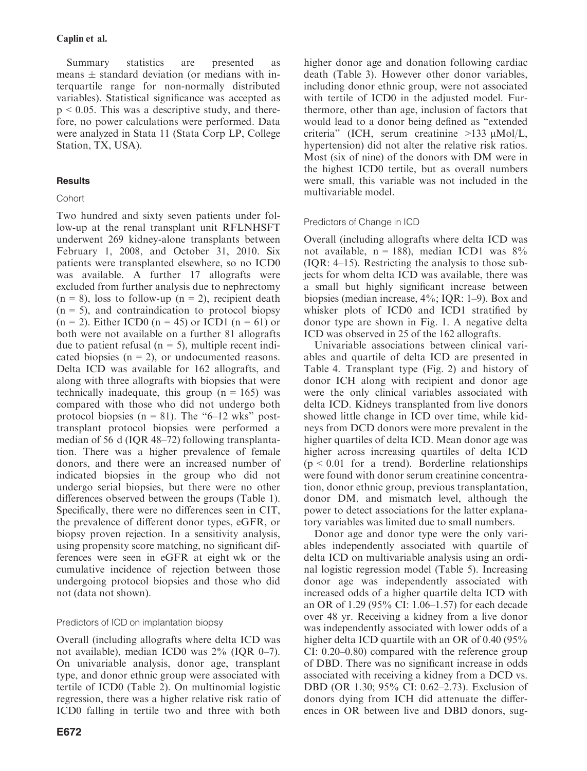Summary statistics are presented as means  $\pm$  standard deviation (or medians with interquartile range for non-normally distributed variables). Statistical significance was accepted as  $p \le 0.05$ . This was a descriptive study, and therefore, no power calculations were performed. Data were analyzed in Stata 11 (Stata Corp LP, College Station, TX, USA).

# **Results**

# **Cohort**

Two hundred and sixty seven patients under follow-up at the renal transplant unit RFLNHSFT underwent 269 kidney-alone transplants between February 1, 2008, and October 31, 2010. Six patients were transplanted elsewhere, so no ICD0 was available. A further 17 allografts were excluded from further analysis due to nephrectomy  $(n = 8)$ , loss to follow-up  $(n = 2)$ , recipient death  $(n = 5)$ , and contraindication to protocol biopsy  $(n = 2)$ . Either ICD0  $(n = 45)$  or ICD1  $(n = 61)$  or both were not available on a further 81 allografts due to patient refusal  $(n = 5)$ , multiple recent indicated biopsies  $(n = 2)$ , or undocumented reasons. Delta ICD was available for 162 allografts, and along with three allografts with biopsies that were technically inadequate, this group  $(n = 165)$  was compared with those who did not undergo both protocol biopsies ( $n = 81$ ). The "6–12 wks" posttransplant protocol biopsies were performed a median of 56 d (IQR 48–72) following transplantation. There was a higher prevalence of female donors, and there were an increased number of indicated biopsies in the group who did not undergo serial biopsies, but there were no other differences observed between the groups (Table 1). Specifically, there were no differences seen in CIT, the prevalence of different donor types, eGFR, or biopsy proven rejection. In a sensitivity analysis, using propensity score matching, no significant differences were seen in eGFR at eight wk or the cumulative incidence of rejection between those undergoing protocol biopsies and those who did not (data not shown).

# Predictors of ICD on implantation biopsy

Overall (including allografts where delta ICD was not available), median ICD0 was 2% (IQR 0–7). On univariable analysis, donor age, transplant type, and donor ethnic group were associated with tertile of ICD0 (Table 2). On multinomial logistic regression, there was a higher relative risk ratio of ICD0 falling in tertile two and three with both

higher donor age and donation following cardiac death (Table 3). However other donor variables, including donor ethnic group, were not associated with tertile of ICD0 in the adjusted model. Furthermore, other than age, inclusion of factors that would lead to a donor being defined as "extended criteria" (ICH, serum creatinine  $>133 \mu$ Mol/L, hypertension) did not alter the relative risk ratios. Most (six of nine) of the donors with DM were in the highest ICD0 tertile, but as overall numbers were small, this variable was not included in the multivariable model.

## Predictors of Change in ICD

Overall (including allografts where delta ICD was not available,  $n = 188$ ), median ICD1 was  $8\%$ (IQR: 4–15). Restricting the analysis to those subjects for whom delta ICD was available, there was a small but highly significant increase between biopsies (median increase, 4%; IQR: 1–9). Box and whisker plots of ICD0 and ICD1 stratified by donor type are shown in Fig. 1. A negative delta ICD was observed in 25 of the 162 allografts.

Univariable associations between clinical variables and quartile of delta ICD are presented in Table 4. Transplant type (Fig. 2) and history of donor ICH along with recipient and donor age were the only clinical variables associated with delta ICD. Kidneys transplanted from live donors showed little change in ICD over time, while kidneys from DCD donors were more prevalent in the higher quartiles of delta ICD. Mean donor age was higher across increasing quartiles of delta ICD  $(p < 0.01$  for a trend). Borderline relationships were found with donor serum creatinine concentration, donor ethnic group, previous transplantation, donor DM, and mismatch level, although the power to detect associations for the latter explanatory variables was limited due to small numbers.

Donor age and donor type were the only variables independently associated with quartile of delta ICD on multivariable analysis using an ordinal logistic regression model (Table 5). Increasing donor age was independently associated with increased odds of a higher quartile delta ICD with an OR of 1.29 (95% CI: 1.06–1.57) for each decade over 48 yr. Receiving a kidney from a live donor was independently associated with lower odds of a higher delta ICD quartile with an OR of 0.40 (95% CI: 0.20–0.80) compared with the reference group of DBD. There was no significant increase in odds associated with receiving a kidney from a DCD vs. DBD (OR 1.30; 95% CI: 0.62–2.73). Exclusion of donors dying from ICH did attenuate the differences in OR between live and DBD donors, sug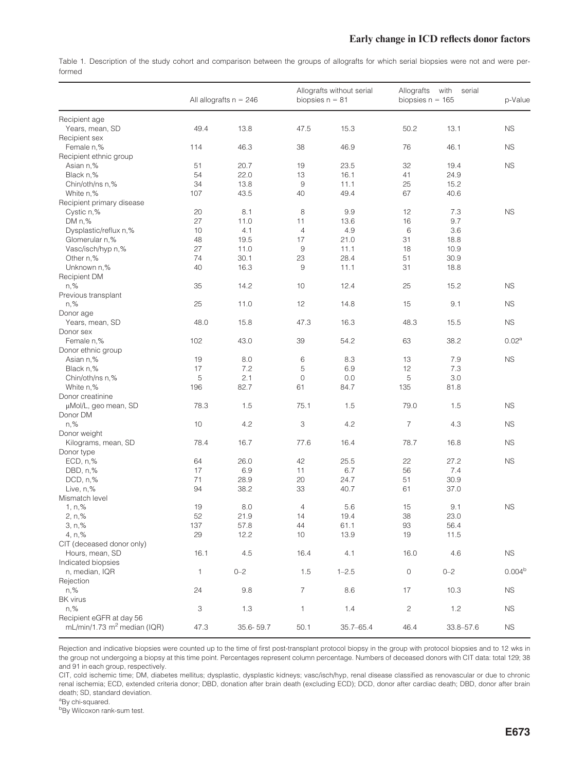Table 1. Description of the study cohort and comparison between the groups of allografts for which serial biopsies were not and were performed

|                                |              | All allografts $n = 246$ |                | Allografts without serial<br>biopsies $n = 81$ |                | Allografts<br>with<br>serial<br>biopsies $n = 165$ |                   |
|--------------------------------|--------------|--------------------------|----------------|------------------------------------------------|----------------|----------------------------------------------------|-------------------|
| Recipient age                  |              |                          |                |                                                |                |                                                    |                   |
| Years, mean, SD                | 49.4         | 13.8                     | 47.5           | 15.3                                           | 50.2           | 13.1                                               | <b>NS</b>         |
| Recipient sex                  |              |                          |                |                                                |                |                                                    |                   |
| Female n,%                     | 114          | 46.3                     | 38             | 46.9                                           | 76             | 46.1                                               | <b>NS</b>         |
| Recipient ethnic group         |              |                          |                |                                                |                |                                                    |                   |
| Asian n,%                      | 51           | 20.7                     | 19             | 23.5                                           | 32             | 19.4                                               | <b>NS</b>         |
| Black n,%                      | 54           | 22.0                     | 13             | 16.1                                           | 41             | 24.9                                               |                   |
| Chin/oth/ns n,%                | 34           | 13.8                     | 9              | 11.1                                           | 25             | 15.2                                               |                   |
| White n,%                      | 107          | 43.5                     | 40             | 49.4                                           | 67             | 40.6                                               |                   |
| Recipient primary disease      |              |                          |                |                                                |                |                                                    |                   |
| Cystic n,%                     | 20           | 8.1                      | 8              | 9.9                                            | 12             | 7.3                                                | $_{\rm NS}$       |
| DM $n$ ,%                      | 27           | 11.0                     | 11             | 13.6                                           | 16             | 9.7                                                |                   |
| Dysplastic/reflux n,%          | 10           | 4.1                      | $\overline{4}$ | 4.9                                            | 6              | 3.6                                                |                   |
| Glomerular n,%                 | 48           | 19.5                     | 17             | 21.0                                           | 31             | 18.8                                               |                   |
| Vasc/isch/hyp n,%              | 27           | 11.0                     | 9              | 11.1                                           | 18             | 10.9                                               |                   |
| Other n,%                      | 74           | 30.1                     | 23             | 28.4                                           | 51             | 30.9                                               |                   |
| Unknown n,%                    | 40           | 16.3                     | 9              | 11.1                                           | 31             | 18.8                                               |                   |
| <b>Recipient DM</b>            |              |                          |                |                                                |                |                                                    |                   |
| $n, \%$                        | 35           | 14.2                     | 10             | 12.4                                           | 25             | 15.2                                               | <b>NS</b>         |
| Previous transplant            |              |                          |                |                                                |                |                                                    |                   |
| $n, \%$                        | 25           | 11.0                     | 12             | 14.8                                           | 15             | 9.1                                                | <b>NS</b>         |
| Donor age                      |              |                          |                |                                                |                |                                                    |                   |
| Years, mean, SD                | 48.0         | 15.8                     | 47.3           | 16.3                                           | 48.3           | 15.5                                               | <b>NS</b>         |
| Donor sex                      |              |                          |                |                                                |                |                                                    |                   |
| Female n,%                     | 102          | 43.0                     | 39             | 54.2                                           | 63             | 38.2                                               | 0.02 <sup>a</sup> |
| Donor ethnic group             |              |                          |                |                                                |                |                                                    |                   |
| Asian n,%                      | 19           | 8.0                      | 6              | 8.3                                            | 13             | 7.9                                                | $_{\rm NS}$       |
| Black n,%                      | 17           | 7.2                      | 5              | 6.9                                            | 12             | 7.3                                                |                   |
| Chin/oth/ns n,%                | 5            | 2.1                      | $\mathsf{O}$   | 0.0                                            | 5              | 3.0                                                |                   |
| White n,%                      | 196          | 82.7                     | 61             | 84.7                                           | 135            | 81.8                                               |                   |
| Donor creatinine               |              |                          |                |                                                |                |                                                    |                   |
| µMol/L, geo mean, SD           | 78.3         | 1.5                      | 75.1           | 1.5                                            | 79.0           | 1.5                                                | <b>NS</b>         |
| Donor DM                       |              |                          |                |                                                |                |                                                    |                   |
| $n, \%$                        | 10           | 4.2                      | 3              | 4.2                                            | $\overline{7}$ | 4.3                                                | <b>NS</b>         |
| Donor weight                   |              |                          |                |                                                |                |                                                    |                   |
| Kilograms, mean, SD            | 78.4         | 16.7                     | 77.6           | 16.4                                           | 78.7           | 16.8                                               | <b>NS</b>         |
| Donor type                     |              |                          |                |                                                |                |                                                    |                   |
| ECD, n, %                      | 64           | 26.0                     | 42             | 25.5                                           | 22             | 27.2                                               | <b>NS</b>         |
| DBD, n,%                       | 17           | 6.9                      | 11             | 6.7                                            | 56             | 7.4                                                |                   |
| DCD, n,%                       | 71           | 28.9                     | 20             | 24.7                                           | 51             | 30.9                                               |                   |
| Live, n,%                      | 94           | 38.2                     | 33             | 40.7                                           | 61             | 37.0                                               |                   |
| Mismatch level                 |              |                          |                |                                                |                |                                                    |                   |
| $1, n, \%$                     | 19           | 8.0                      | $\overline{4}$ | 5.6                                            | 15             | 9.1                                                | <b>NS</b>         |
| 2, n,%                         | 52           | 21.9                     | 14             | 19.4                                           | 38             | 23.0                                               |                   |
| 3, n,%                         | 137          | 57.8                     | 44             | 61.1                                           | $93\,$         | 56.4                                               |                   |
| 4, n,%                         | 29           | 12.2                     | 10             | 13.9                                           | 19             | 11.5                                               |                   |
| CIT (deceased donor only)      |              |                          |                |                                                |                |                                                    |                   |
| Hours, mean, SD                | 16.1         | 4.5                      | 16.4           | 4.1                                            | 16.0           | 4.6                                                | ${\sf NS}$        |
| Indicated biopsies             |              |                          |                |                                                |                |                                                    |                   |
| n, median, IQR                 | $\mathbf{1}$ | $0 - 2$                  | 1.5            | $1 - 2.5$                                      | $\mathsf O$    | $0 - 2$                                            | $0.004^{b}$       |
| Rejection                      |              |                          |                |                                                |                |                                                    |                   |
| $n, \%$                        | 24           | 9.8                      | $\overline{7}$ | 8.6                                            | 17             | 10.3                                               | <b>NS</b>         |
| <b>BK</b> virus                |              |                          |                |                                                |                |                                                    |                   |
| n,%                            | 3            | 1.3                      | $\mathbf{1}$   | 1.4                                            | $\overline{c}$ | 1.2                                                | <b>NS</b>         |
| Recipient eGFR at day 56       |              |                          |                |                                                |                |                                                    |                   |
| mL/min/1.73 $m^2$ median (IQR) | 47.3         | 35.6-59.7                | 50.1           | $35.7 - 65.4$                                  | 46.4           | 33.8-57.6                                          | <b>NS</b>         |

Rejection and indicative biopsies were counted up to the time of first post-transplant protocol biopsy in the group with protocol biopsies and to 12 wks in the group not undergoing a biopsy at this time point. Percentages represent column percentage. Numbers of deceased donors with CIT data: total 129; 38 and 91 in each group, respectively.

CIT, cold ischemic time; DM, diabetes mellitus; dysplastic, dysplastic kidneys; vasc/isch/hyp, renal disease classified as renovascular or due to chronic renal ischemia; ECD, extended criteria donor; DBD, donation after brain death (excluding ECD); DCD, donor after cardiac death; DBD, donor after brain death; SD, standard deviation.

<sup>a</sup>By chi-squared.

**By Wilcoxon rank-sum test.**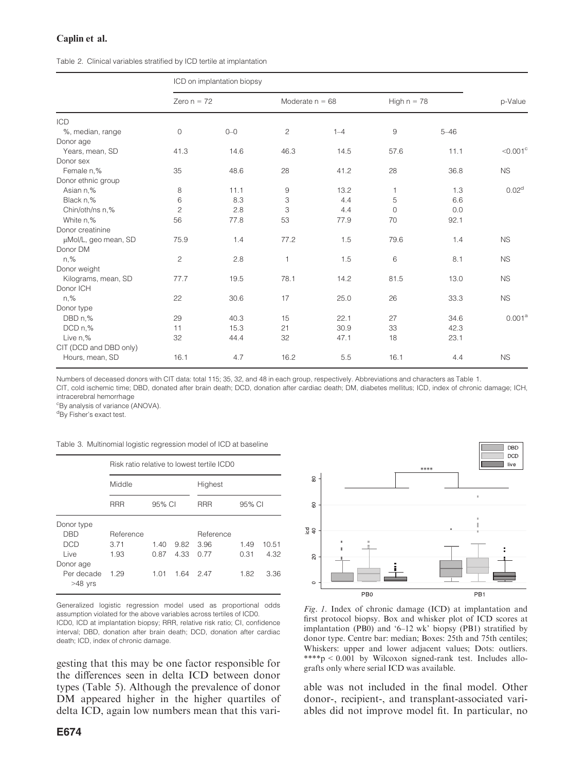#### Caplin et al.

|  | Table 2. Clinical variables stratified by ICD tertile at implantation |
|--|-----------------------------------------------------------------------|
|--|-----------------------------------------------------------------------|

|                        | ICD on implantation biopsy |         |                   |         |               |          |                        |
|------------------------|----------------------------|---------|-------------------|---------|---------------|----------|------------------------|
|                        | Zero $n = 72$              |         | Moderate $n = 68$ |         | High $n = 78$ |          | p-Value                |
| ICD                    |                            |         |                   |         |               |          |                        |
| %, median, range       | $\Omega$                   | $0 - 0$ | $\mathbf{2}$      | $1 - 4$ | 9             | $5 - 46$ |                        |
| Donor age              |                            |         |                   |         |               |          |                        |
| Years, mean, SD        | 41.3                       | 14.6    | 46.3              | 14.5    | 57.6          | 11.1     | $< 0.001$ <sup>c</sup> |
| Donor sex              |                            |         |                   |         |               |          |                        |
| Female n,%             | 35                         | 48.6    | 28                | 41.2    | 28            | 36.8     | <b>NS</b>              |
| Donor ethnic group     |                            |         |                   |         |               |          |                        |
| Asian n,%              | 8                          | 11.1    | $\mathsf 9$       | 13.2    | 1             | 1.3      | 0.02 <sup>d</sup>      |
| Black n,%              | 6                          | 8.3     | 3                 | 4.4     | 5             | 6.6      |                        |
| Chin/oth/ns n,%        | $\mathfrak{p}$             | 2.8     | 3                 | 4.4     | $\Omega$      | 0.0      |                        |
| White n,%              | 56                         | 77.8    | 53                | 77.9    | 70            | 92.1     |                        |
| Donor creatinine       |                            |         |                   |         |               |          |                        |
| µMol/L, geo mean, SD   | 75.9                       | 1.4     | 77.2              | 1.5     | 79.6          | 1.4      | <b>NS</b>              |
| Donor DM               |                            |         |                   |         |               |          |                        |
| $n, \%$                | $\overline{c}$             | 2.8     | $\mathbf{1}$      | 1.5     | 6             | 8.1      | <b>NS</b>              |
| Donor weight           |                            |         |                   |         |               |          |                        |
| Kilograms, mean, SD    | 77.7                       | 19.5    | 78.1              | 14.2    | 81.5          | 13.0     | <b>NS</b>              |
| Donor ICH              |                            |         |                   |         |               |          |                        |
| $n, \%$                | 22                         | 30.6    | 17                | 25.0    | 26            | 33.3     | <b>NS</b>              |
| Donor type             |                            |         |                   |         |               |          |                        |
| DBD n,%                | 29                         | 40.3    | 15                | 22.1    | 27            | 34.6     | 0.001 <sup>a</sup>     |
| DCD <sub>n,%</sub>     | 11                         | 15.3    | 21                | 30.9    | 33            | 42.3     |                        |
| Live n,%               | 32                         | 44.4    | 32                | 47.1    | 18            | 23.1     |                        |
| CIT (DCD and DBD only) |                            |         |                   |         |               |          |                        |
| Hours, mean, SD        | 16.1                       | 4.7     | 16.2              | 5.5     | 16.1          | 4.4      | <b>NS</b>              |

Numbers of deceased donors with CIT data: total 115; 35, 32, and 48 in each group, respectively. Abbreviations and characters as Table 1.

CIT, cold ischemic time; DBD, donated after brain death; DCD, donation after cardiac death; DM, diabetes mellitus; ICD, index of chronic damage; ICH, intracerebral hemorrhage

<sup>c</sup>By analysis of variance (ANOVA).

<sup>d</sup>By Fisher's exact test.

| Table 3. Multinomial logistic regression model of ICD at baseline |  |  |  |
|-------------------------------------------------------------------|--|--|--|
|-------------------------------------------------------------------|--|--|--|

|                         | Risk ratio relative to lowest tertile ICD0 |        |      |            |        |       |  |  |
|-------------------------|--------------------------------------------|--------|------|------------|--------|-------|--|--|
|                         | Middle                                     |        |      | Highest    |        |       |  |  |
|                         | <b>RRR</b>                                 | 95% CI |      | <b>RRR</b> | 95% CI |       |  |  |
| Donor type              |                                            |        |      |            |        |       |  |  |
| <b>DBD</b>              | Reference                                  |        |      | Reference  |        |       |  |  |
| <b>DCD</b>              | 3.71                                       | 1.40   | 9.82 | 3.96       | 1.49   | 10.51 |  |  |
| Live                    | 1.93                                       | 0.87   | 4.33 | 0.77       | 0.31   | 4.32  |  |  |
| Donor age               |                                            |        |      |            |        |       |  |  |
| Per decade<br>$>48$ yrs | 1.29                                       | 1.01   | 1.64 | 247        | 1.82   | 3.36  |  |  |

Generalized logistic regression model used as proportional odds assumption violated for the above variables across tertiles of ICD0. ICD0, ICD at implantation biopsy; RRR, relative risk ratio; CI, confidence interval; DBD, donation after brain death; DCD, donation after cardiac death; ICD, index of chronic damage.

gesting that this may be one factor responsible for the differences seen in delta ICD between donor types (Table 5). Although the prevalence of donor DM appeared higher in the higher quartiles of delta ICD, again low numbers mean that this vari-



first protocol biopsy. Box and whisker plot of ICD scores at implantation (PB0) and '6–12 wk' biopsy (PB1) stratified by donor type. Centre bar: median; Boxes: 25th and 75th centiles; Whiskers: upper and lower adjacent values; Dots: outliers. \*\*\*\*p < 0.001 by Wilcoxon signed-rank test. Includes allografts only where serial ICD was available.

**DBD DCD** live

able was not included in the final model. Other donor-, recipient-, and transplant-associated variables did not improve model fit. In particular, no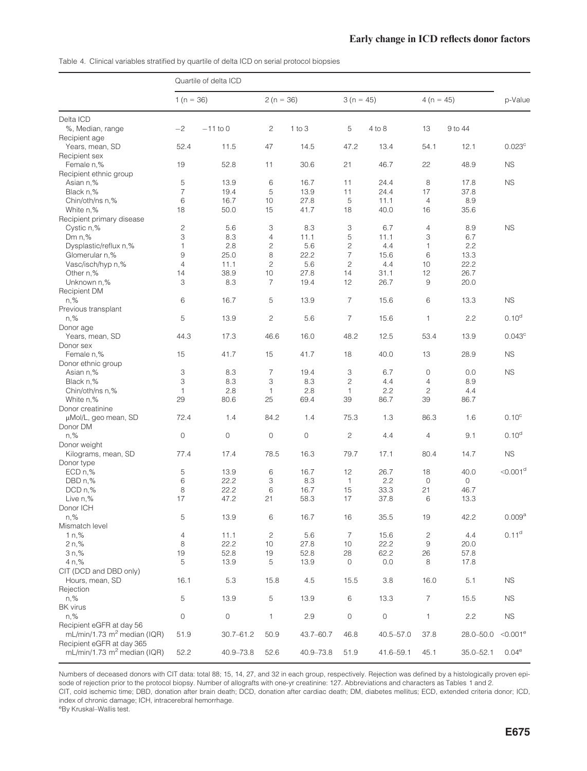Table 4. Clinical variables stratified by quartile of delta ICD on serial protocol biopsies

|                                         | Quartile of delta ICD |                     |                       |              |                |              |                |               |                        |
|-----------------------------------------|-----------------------|---------------------|-----------------------|--------------|----------------|--------------|----------------|---------------|------------------------|
|                                         | 1 (n = $36$ )         |                     | $2(n = 36)$           |              | $3(n = 45)$    |              | $4(n = 45)$    |               | p-Value                |
| Delta ICD                               |                       |                     |                       |              |                |              |                |               |                        |
| %, Median, range                        | $-2$                  | $-11$ to 0          | $\mathbf{2}$          | $1$ to $3$   | 5              | 4 to 8       | 13             | 9 to 44       |                        |
| Recipient age                           |                       |                     |                       |              |                |              |                |               |                        |
| Years, mean, SD                         | 52.4                  | 11.5                | 47                    | 14.5         | 47.2           | 13.4         | 54.1           | 12.1          | $0.023^{\circ}$        |
| Recipient sex                           |                       |                     |                       |              |                |              |                |               |                        |
| Female n,%                              | 19                    | 52.8                | 11                    | 30.6         | 21             | 46.7         | 22             | 48.9          | <b>NS</b>              |
| Recipient ethnic group                  |                       |                     |                       |              |                |              |                |               |                        |
| Asian n.%                               | 5                     | 13.9                | 6                     | 16.7         | 11             | 24.4         | 8              | 17.8          | <b>NS</b>              |
| Black n.%                               | $\overline{7}$        | 19.4<br>16.7        | 5                     | 13.9         | 11             | 24.4         | 17             | 37.8          |                        |
| Chin/oth/ns n,%<br>White n,%            | 6<br>18               | 50.0                | 10<br>15              | 27.8<br>41.7 | 5<br>18        | 11.1<br>40.0 | 4<br>16        | 8.9<br>35.6   |                        |
| Recipient primary disease               |                       |                     |                       |              |                |              |                |               |                        |
| Cystic n,%                              | $\mathbf{2}$          | 5.6                 | 3                     | 8.3          | 3              | 6.7          | 4              | 8.9           | <b>NS</b>              |
| $Dm n,$ %                               | 3                     | 8.3                 | $\overline{4}$        | 11.1         | 5              | 11.1         | 3              | 6.7           |                        |
| Dysplastic/reflux n,%                   | $\mathbf{1}$          | 2.8                 | $\mathbf{2}$          | 5.6          | $\mathbf{2}$   | 4.4          | $\mathbf{1}$   | 2.2           |                        |
| Glomerular n,%                          | 9                     | 25.0                | 8                     | 22.2         | $\overline{7}$ | 15.6         | 6              | 13.3          |                        |
| Vasc/isch/hyp n,%                       | $\overline{4}$        | 11.1                | $\overline{c}$        | 5.6          | $\overline{c}$ | 4.4          | 10             | 22.2          |                        |
| Other n.%                               | 14                    | 38.9                | 10                    | 27.8         | 14             | 31.1         | 12             | 26.7          |                        |
| Unknown n,%                             | 3                     | 8.3                 | $\overline{7}$        | 19.4         | 12             | 26.7         | 9              | 20.0          |                        |
| <b>Recipient DM</b>                     |                       |                     |                       |              |                |              |                |               |                        |
| $n, \%$                                 | 6                     | 16.7                | 5                     | 13.9         | $\overline{7}$ | 15.6         | 6              | 13.3          | <b>NS</b>              |
| Previous transplant                     |                       |                     |                       |              |                |              |                |               |                        |
| $n, \%$                                 | 5                     | 13.9                | $\mathbf{2}^{\prime}$ | 5.6          | $\overline{7}$ | 15.6         | $\mathbf{1}$   | 2.2           | $0.10^{d}$             |
| Donor age                               |                       |                     |                       |              |                |              |                |               |                        |
| Years, mean, SD                         | 44.3                  | 17.3                | 46.6                  | 16.0         | 48.2           | 12.5         | 53.4           | 13.9          | 0.043 <sup>c</sup>     |
| Donor sex                               |                       |                     |                       |              |                |              |                |               |                        |
| Female n,%                              | 15                    | 41.7                | 15                    | 41.7         | 18             | 40.0         | 13             | 28.9          | <b>NS</b>              |
| Donor ethnic group                      |                       |                     |                       |              |                |              |                |               |                        |
| Asian n,%                               | 3                     | 8.3                 | $\overline{7}$        | 19.4         | 3              | 6.7          | $\circ$        | 0.0           | <b>NS</b>              |
| Black n,%                               | 3                     | 8.3                 | 3                     | 8.3          | $\overline{c}$ | 4.4          | $\overline{4}$ | 8.9           |                        |
| Chin/oth/ns n,%                         | $\mathbf{1}$          | 2.8                 | $\mathbf{1}$          | 2.8          | $\mathbf{1}$   | 2.2          | $\mathbf{2}$   | 4.4           |                        |
| White n,%                               | 29                    | 80.6                | 25                    | 69.4         | 39             | 86.7         | 39             | 86.7          |                        |
| Donor creatinine                        |                       |                     |                       |              |                |              |                |               |                        |
| µMol/L, geo mean, SD                    | 72.4                  | 1.4                 | 84.2                  | 1.4          | 75.3           | 1.3          | 86.3           | 1.6           | 0.10 <sup>c</sup>      |
| Donor DM                                |                       |                     |                       |              |                |              |                |               |                        |
| $n, \%$                                 | $\circ$               | 0                   | $\mathsf{O}\xspace$   | $\circ$      | 2              | 4.4          | $\overline{4}$ | 9.1           | 0.10 <sup>d</sup>      |
| Donor weight                            |                       |                     |                       |              |                |              |                |               |                        |
| Kilograms, mean, SD                     | 77.4                  | 17.4                | 78.5                  | 16.3         | 79.7           | 17.1         | 80.4           | 14.7          | <b>NS</b>              |
| Donor type                              |                       |                     |                       |              |                |              |                |               |                        |
| ECD <sub>n,%</sub>                      | 5                     | 13.9                | 6                     | 16.7         | 12             | 26.7         | 18             | 40.0          | < 0.001 <sup>d</sup>   |
| DBD n,%                                 | 6                     | 22.2                | 3                     | 8.3          | $\mathbf{1}$   | 2.2          | $\circ$        | 0             |                        |
| DCD n,%                                 | 8                     | 22.2                | 6                     | 16.7         | 15             | 33.3         | 21             | 46.7          |                        |
| Live n,%<br>Donor ICH                   | 17                    | 47.2                | 21                    | 58.3         | 17             | 37.8         | 6              | 13.3          |                        |
| $n, \%$                                 | 5                     | 13.9                | 6                     | 16.7         | 16             | 35.5         | 19             | 42.2          | $0.009^{\rm a}$        |
| Mismatch level                          |                       |                     |                       |              |                |              |                |               |                        |
| $1 n, \%$                               | $\overline{4}$        | 11.1                | $\mathbf{2}$          | 5.6          | $\overline{7}$ | 15.6         | $\mathbf{2}$   | 4.4           | 0.11 <sup>d</sup>      |
| $2 n, \%$                               | 8                     | 22.2                | 10                    | 27.8         | 10             | 22.2         | 9              | 20.0          |                        |
| $3 n$ ,%                                | 19                    | 52.8                | 19                    | 52.8         | 28             | 62.2         | 26             | 57.8          |                        |
| 4 n,%                                   | 5                     | 13.9                | 5                     | 13.9         | $\mathsf O$    | 0.0          | 8              | 17.8          |                        |
| CIT (DCD and DBD only)                  |                       |                     |                       |              |                |              |                |               |                        |
| Hours, mean, SD                         | 16.1                  | 5.3                 | 15.8                  | 4.5          | 15.5           | 3.8          | 16.0           | 5.1           | <b>NS</b>              |
| Rejection                               |                       |                     |                       |              |                |              |                |               |                        |
| $n, \%$                                 | 5                     | 13.9                | 5                     | 13.9         | 6              | 13.3         | $\overline{7}$ | 15.5          | <b>NS</b>              |
| <b>BK</b> virus                         |                       |                     |                       |              |                |              |                |               |                        |
| $n, \%$                                 | $\mathbf{O}$          | $\mathsf{O}\xspace$ | $\mathbf{1}$          | 2.9          | 0              | $\mathbf 0$  | $\mathbf{1}$   | 2.2           | <b>NS</b>              |
| Recipient eGFR at day 56                |                       |                     |                       |              |                |              |                |               |                        |
| mL/min/1.73 $m^2$ median (IQR)          | 51.9                  | $30.7 - 61.2$       | 50.9                  | 43.7-60.7    | 46.8           | 40.5-57.0    | 37.8           | 28.0-50.0     | $< 0.001$ <sup>e</sup> |
| Recipient eGFR at day 365               |                       |                     |                       |              |                |              |                |               |                        |
| mL/min/1.73 m <sup>2</sup> median (IQR) | 52.2                  | 40.9-73.8           | 52.6                  | 40.9-73.8    | 51.9           | 41.6-59.1    | 45.1           | $35.0 - 52.1$ | 0.04 <sup>e</sup>      |
|                                         |                       |                     |                       |              |                |              |                |               |                        |

Numbers of deceased donors with CIT data: total 88; 15, 14, 27, and 32 in each group, respectively. Rejection was defined by a histologically proven episode of rejection prior to the protocol biopsy. Number of allografts with one-yr creatinine: 127. Abbreviations and characters as Tables 1 and 2. CIT, cold ischemic time; DBD, donation after brain death; DCD, donation after cardiac death; DM, diabetes mellitus; ECD, extended criteria donor; ICD, index of chronic damage; ICH, intracerebral hemorrhage.

e By Kruskal–Wallis test.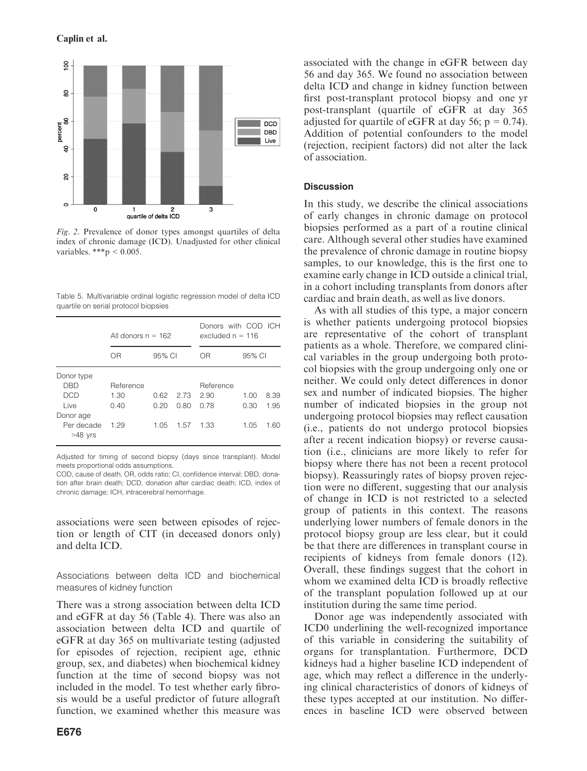

Fig. 2. Prevalence of donor types amongst quartiles of delta index of chronic damage (ICD). Unadjusted for other clinical variables. \*\*\*p <  $0.005$ .

Table 5. Multivariable ordinal logistic regression model of delta ICD quartile on serial protocol biopsies

|                                                                                        | All donors $n = 162$              |                      |                      | Donors with COD ICH<br>excluded $n = 116$ |                      |                      |  |
|----------------------------------------------------------------------------------------|-----------------------------------|----------------------|----------------------|-------------------------------------------|----------------------|----------------------|--|
|                                                                                        | ΟR                                | 95% CI               |                      | ΟR                                        | 95% CI               |                      |  |
| Donor type<br><b>DBD</b><br><b>DCD</b><br>Live<br>Donor age<br>Per decade<br>$>48$ yrs | Reference<br>1.30<br>0.40<br>1 29 | 0.62<br>0.20<br>1.05 | 2.73<br>0.80<br>1.57 | Reference<br>2.90<br>0.78<br>1.33         | 1.00<br>0.30<br>1.05 | 8.39<br>1.95<br>1.60 |  |

Adjusted for timing of second biopsy (days since transplant). Model meets proportional odds assumptions.

associations were seen between episodes of rejection or length of CIT (in deceased donors only) and delta ICD.

Associations between delta ICD and biochemical measures of kidney function

There was a strong association between delta ICD and eGFR at day 56 (Table 4). There was also an association between delta ICD and quartile of eGFR at day 365 on multivariate testing (adjusted for episodes of rejection, recipient age, ethnic group, sex, and diabetes) when biochemical kidney function at the time of second biopsy was not included in the model. To test whether early fibrosis would be a useful predictor of future allograft function, we examined whether this measure was

associated with the change in eGFR between day 56 and day 365. We found no association between delta ICD and change in kidney function between first post-transplant protocol biopsy and one yr post-transplant (quartile of eGFR at day 365 adjusted for quartile of eGFR at day 56;  $p = 0.74$ ). Addition of potential confounders to the model (rejection, recipient factors) did not alter the lack of association.

#### **Discussion**

In this study, we describe the clinical associations of early changes in chronic damage on protocol biopsies performed as a part of a routine clinical care. Although several other studies have examined the prevalence of chronic damage in routine biopsy samples, to our knowledge, this is the first one to examine early change in ICD outside a clinical trial, in a cohort including transplants from donors after cardiac and brain death, as well as live donors.

As with all studies of this type, a major concern is whether patients undergoing protocol biopsies are representative of the cohort of transplant patients as a whole. Therefore, we compared clinical variables in the group undergoing both protocol biopsies with the group undergoing only one or neither. We could only detect differences in donor sex and number of indicated biopsies. The higher number of indicated biopsies in the group not undergoing protocol biopsies may reflect causation (i.e., patients do not undergo protocol biopsies after a recent indication biopsy) or reverse causation (i.e., clinicians are more likely to refer for biopsy where there has not been a recent protocol biopsy). Reassuringly rates of biopsy proven rejection were no different, suggesting that our analysis of change in ICD is not restricted to a selected group of patients in this context. The reasons underlying lower numbers of female donors in the protocol biopsy group are less clear, but it could be that there are differences in transplant course in recipients of kidneys from female donors (12). Overall, these findings suggest that the cohort in whom we examined delta ICD is broadly reflective of the transplant population followed up at our institution during the same time period.

Donor age was independently associated with ICD0 underlining the well-recognized importance of this variable in considering the suitability of organs for transplantation. Furthermore, DCD kidneys had a higher baseline ICD independent of age, which may reflect a difference in the underlying clinical characteristics of donors of kidneys of these types accepted at our institution. No differences in baseline ICD were observed between

COD, cause of death, OR, odds ratio; CI, confidence interval; DBD, donation after brain death; DCD, donation after cardiac death; ICD, index of chronic damage; ICH, intracerebral hemorrhage.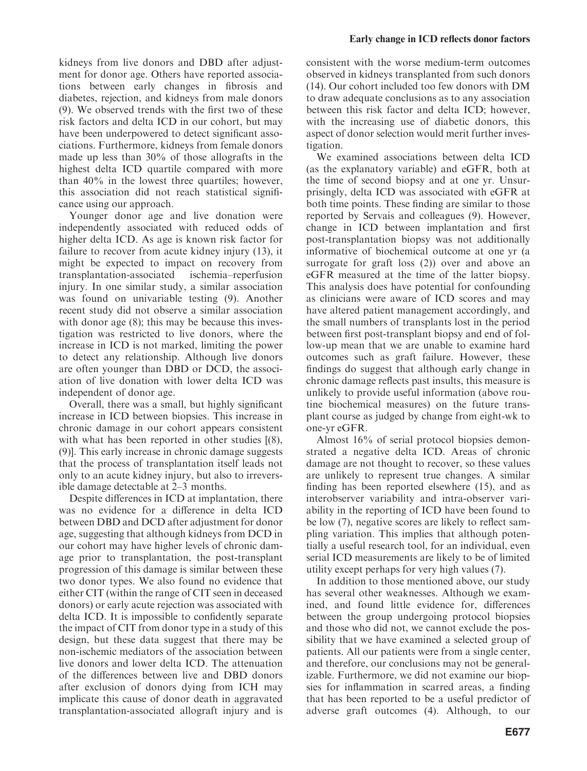kidneys from live donors and DBD after adjustment for donor age. Others have reported associations between early changes in fibrosis and diabetes, rejection, and kidneys from male donors (9). We observed trends with the first two of these risk factors and delta ICD in our cohort, but may have been underpowered to detect significant associations. Furthermore, kidneys from female donors made up less than 30% of those allografts in the highest delta ICD quartile compared with more than 40% in the lowest three quartiles; however, this association did not reach statistical significance using our approach.

Younger donor age and live donation were independently associated with reduced odds of higher delta ICD. As age is known risk factor for failure to recover from acute kidney injury (13), it might be expected to impact on recovery from transplantation-associated ischemia–reperfusion injury. In one similar study, a similar association was found on univariable testing (9). Another recent study did not observe a similar association with donor age  $(8)$ ; this may be because this investigation was restricted to live donors, where the increase in ICD is not marked, limiting the power to detect any relationship. Although live donors are often younger than DBD or DCD, the association of live donation with lower delta ICD was independent of donor age.

Overall, there was a small, but highly significant increase in ICD between biopsies. This increase in chronic damage in our cohort appears consistent with what has been reported in other studies [(8), (9)]. This early increase in chronic damage suggests that the process of transplantation itself leads not only to an acute kidney injury, but also to irreversible damage detectable at 2–3 months.

Despite differences in ICD at implantation, there was no evidence for a difference in delta ICD between DBD and DCD after adjustment for donor age, suggesting that although kidneys from DCD in our cohort may have higher levels of chronic damage prior to transplantation, the post-transplant progression of this damage is similar between these two donor types. We also found no evidence that either CIT (within the range of CIT seen in deceased donors) or early acute rejection was associated with delta ICD. It is impossible to confidently separate the impact of CIT from donor type in a study of this design, but these data suggest that there may be non-ischemic mediators of the association between live donors and lower delta ICD. The attenuation of the differences between live and DBD donors after exclusion of donors dying from ICH may implicate this cause of donor death in aggravated transplantation-associated allograft injury and is consistent with the worse medium-term outcomes observed in kidneys transplanted from such donors (14). Our cohort included too few donors with DM to draw adequate conclusions as to any association between this risk factor and delta ICD; however, with the increasing use of diabetic donors, this aspect of donor selection would merit further investigation.

We examined associations between delta ICD (as the explanatory variable) and eGFR, both at the time of second biopsy and at one yr. Unsurprisingly, delta ICD was associated with eGFR at both time points. These finding are similar to those reported by Servais and colleagues (9). However, change in ICD between implantation and first post-transplantation biopsy was not additionally informative of biochemical outcome at one yr (a surrogate for graft loss (2)) over and above an eGFR measured at the time of the latter biopsy. This analysis does have potential for confounding as clinicians were aware of ICD scores and may have altered patient management accordingly, and the small numbers of transplants lost in the period between first post-transplant biopsy and end of follow-up mean that we are unable to examine hard outcomes such as graft failure. However, these findings do suggest that although early change in chronic damage reflects past insults, this measure is unlikely to provide useful information (above routine biochemical measures) on the future transplant course as judged by change from eight-wk to one-yr eGFR.

Almost 16% of serial protocol biopsies demonstrated a negative delta ICD. Areas of chronic damage are not thought to recover, so these values are unlikely to represent true changes. A similar finding has been reported elsewhere (15), and as interobserver variability and intra-observer variability in the reporting of ICD have been found to be low (7), negative scores are likely to reflect sampling variation. This implies that although potentially a useful research tool, for an individual, even serial ICD measurements are likely to be of limited utility except perhaps for very high values (7).

In addition to those mentioned above, our study has several other weaknesses. Although we examined, and found little evidence for, differences between the group undergoing protocol biopsies and those who did not, we cannot exclude the possibility that we have examined a selected group of patients. All our patients were from a single center, and therefore, our conclusions may not be generalizable. Furthermore, we did not examine our biopsies for inflammation in scarred areas, a finding that has been reported to be a useful predictor of adverse graft outcomes (4). Although, to our